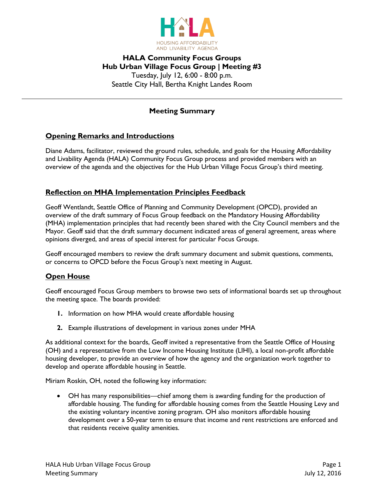

# **HALA Community Focus Groups Hub Urban Village Focus Group | Meeting #3** Tuesday, July 12, 6:00 - 8:00 p.m. Seattle City Hall, Bertha Knight Landes Room

# **Meeting Summary**

## **Opening Remarks and Introductions**

Diane Adams, facilitator, reviewed the ground rules, schedule, and goals for the Housing Affordability and Livability Agenda (HALA) Community Focus Group process and provided members with an overview of the agenda and the objectives for the Hub Urban Village Focus Group's third meeting.

## **Reflection on MHA Implementation Principles Feedback**

Geoff Wentlandt, Seattle Office of Planning and Community Development (OPCD), provided an overview of the draft summary of Focus Group feedback on the Mandatory Housing Affordability (MHA) implementation principles that had recently been shared with the City Council members and the Mayor. Geoff said that the draft summary document indicated areas of general agreement, areas where opinions diverged, and areas of special interest for particular Focus Groups.

Geoff encouraged members to review the draft summary document and submit questions, comments, or concerns to OPCD before the Focus Group's next meeting in August.

## **Open House**

Geoff encouraged Focus Group members to browse two sets of informational boards set up throughout the meeting space. The boards provided:

- **1.** Information on how MHA would create affordable housing
- **2.** Example illustrations of development in various zones under MHA

As additional context for the boards, Geoff invited a representative from the Seattle Office of Housing (OH) and a representative from the Low Income Housing Institute (LIHI), a local non-profit affordable housing developer, to provide an overview of how the agency and the organization work together to develop and operate affordable housing in Seattle.

Miriam Roskin, OH, noted the following key information:

 OH has many responsibilities—chief among them is awarding funding for the production of affordable housing. The funding for affordable housing comes from the Seattle Housing Levy and the existing voluntary incentive zoning program. OH also monitors affordable housing development over a 50-year term to ensure that income and rent restrictions are enforced and that residents receive quality amenities.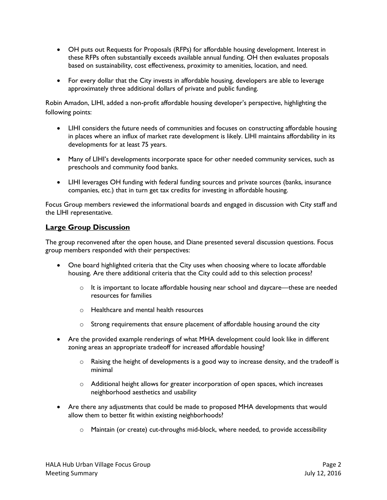- OH puts out Requests for Proposals (RFPs) for affordable housing development. Interest in these RFPs often substantially exceeds available annual funding. OH then evaluates proposals based on sustainability, cost effectiveness, proximity to amenities, location, and need.
- For every dollar that the City invests in affordable housing, developers are able to leverage approximately three additional dollars of private and public funding.

Robin Amadon, LIHI, added a non-profit affordable housing developer's perspective, highlighting the following points:

- LIHI considers the future needs of communities and focuses on constructing affordable housing in places where an influx of market rate development is likely. LIHI maintains affordability in its developments for at least 75 years.
- Many of LIHI's developments incorporate space for other needed community services, such as preschools and community food banks.
- LIHI leverages OH funding with federal funding sources and private sources (banks, insurance companies, etc.) that in turn get tax credits for investing in affordable housing.

Focus Group members reviewed the informational boards and engaged in discussion with City staff and the LIHI representative.

## **Large Group Discussion**

The group reconvened after the open house, and Diane presented several discussion questions. Focus group members responded with their perspectives:

- One board highlighted criteria that the City uses when choosing where to locate affordable housing. Are there additional criteria that the City could add to this selection process?
	- $\circ$  It is important to locate affordable housing near school and daycare—these are needed resources for families
	- o Healthcare and mental health resources
	- $\circ$  Strong requirements that ensure placement of affordable housing around the city
- Are the provided example renderings of what MHA development could look like in different zoning areas an appropriate tradeoff for increased affordable housing?
	- $\circ$  Raising the height of developments is a good way to increase density, and the tradeoff is minimal
	- $\circ$  Additional height allows for greater incorporation of open spaces, which increases neighborhood aesthetics and usability
- Are there any adjustments that could be made to proposed MHA developments that would allow them to better fit within existing neighborhoods?
	- o Maintain (or create) cut-throughs mid-block, where needed, to provide accessibility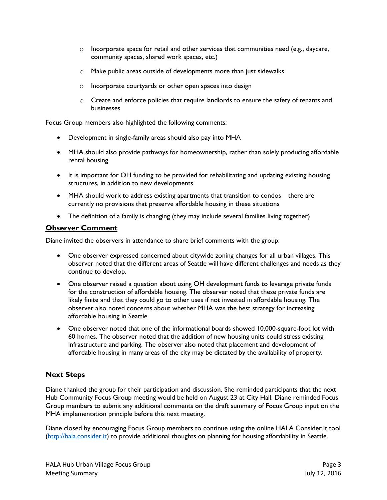- $\circ$  Incorporate space for retail and other services that communities need (e.g., daycare, community spaces, shared work spaces, etc.)
- o Make public areas outside of developments more than just sidewalks
- o Incorporate courtyards or other open spaces into design
- $\circ$  Create and enforce policies that require landlords to ensure the safety of tenants and businesses

Focus Group members also highlighted the following comments:

- Development in single-family areas should also pay into MHA
- MHA should also provide pathways for homeownership, rather than solely producing affordable rental housing
- It is important for OH funding to be provided for rehabilitating and updating existing housing structures, in addition to new developments
- MHA should work to address existing apartments that transition to condos—there are currently no provisions that preserve affordable housing in these situations
- The definition of a family is changing (they may include several families living together)

## **Observer Comment**

Diane invited the observers in attendance to share brief comments with the group:

- One observer expressed concerned about citywide zoning changes for all urban villages. This observer noted that the different areas of Seattle will have different challenges and needs as they continue to develop.
- One observer raised a question about using OH development funds to leverage private funds for the construction of affordable housing. The observer noted that these private funds are likely finite and that they could go to other uses if not invested in affordable housing. The observer also noted concerns about whether MHA was the best strategy for increasing affordable housing in Seattle.
- One observer noted that one of the informational boards showed 10,000-square-foot lot with 60 homes. The observer noted that the addition of new housing units could stress existing infrastructure and parking. The observer also noted that placement and development of affordable housing in many areas of the city may be dictated by the availability of property.

# **Next Steps**

Diane thanked the group for their participation and discussion. She reminded participants that the next Hub Community Focus Group meeting would be held on August 23 at City Hall. Diane reminded Focus Group members to submit any additional comments on the draft summary of Focus Group input on the MHA implementation principle before this next meeting.

Diane closed by encouraging Focus Group members to continue using the online HALA Consider.It tool [\(http://hala.consider.it\)](http://hala.consider.it/) to provide additional thoughts on planning for housing affordability in Seattle.